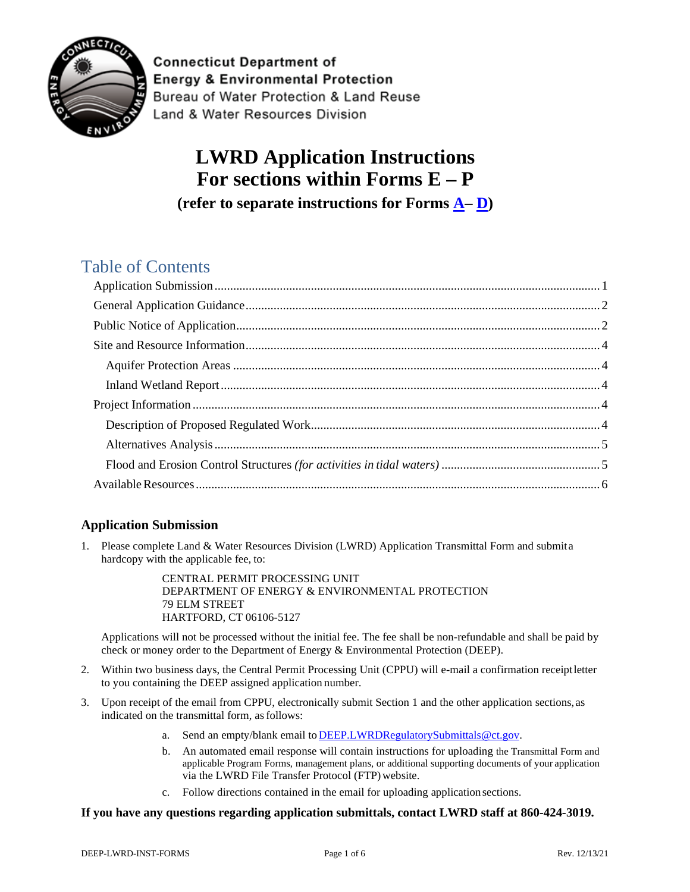

**Connecticut Department of Energy & Environmental Protection** Bureau of Water Protection & Land Reuse Land & Water Resources Division

# **LWRD Application Instructions For sections within Forms E – P (refer to separate instructions for Forms [A–](https://portal.ct.gov/-/media/DEEP/Permits_and_Licenses/Land_Use_Permits/Aquifer_Protection_Permits/APAreginstpdf.pdf?la=en) [D\)](https://portal.ct.gov/-/media/DEEP/Permits_and_Licenses/Land_Use_Permits/LWRD/FormDCOPpdf.pdf)**

## Table of Contents

## <span id="page-0-0"></span>**Application Submission**

1. Please complete Land & Water Resources Division (LWRD) Application Transmittal Form and submita hardcopy with the applicable fee, to:

> CENTRAL PERMIT PROCESSING UNIT DEPARTMENT OF ENERGY & ENVIRONMENTAL PROTECTION 79 ELM STREET HARTFORD, CT 06106-5127

Applications will not be processed without the initial fee. The fee shall be non-refundable and shall be paid by check or money order to the Department of Energy & Environmental Protection (DEEP).

- 2. Within two business days, the Central Permit Processing Unit (CPPU) will e-mail a confirmation receiptletter to you containing the DEEP assigned application number.
- 3. Upon receipt of the email from CPPU, electronically submit Section 1 and the other application sections, as indicated on the transmittal form, as follows:
	- a. Send an empty/blank email to **[DEEP.LWRDRegulatorySubmittals@ct.gov.](mailto:DEEP.LWRDRegulatorySubmittals@ct.gov)**
	- b. An automated email response will contain instructions for uploading the Transmittal Form and applicable Program Forms, management plans, or additional supporting documents of your application via the LWRD File Transfer Protocol (FTP) website.
	- c. Follow directions contained in the email for uploading application sections.

#### **If you have any questions regarding application submittals, contact LWRD staff at 860-424-3019.**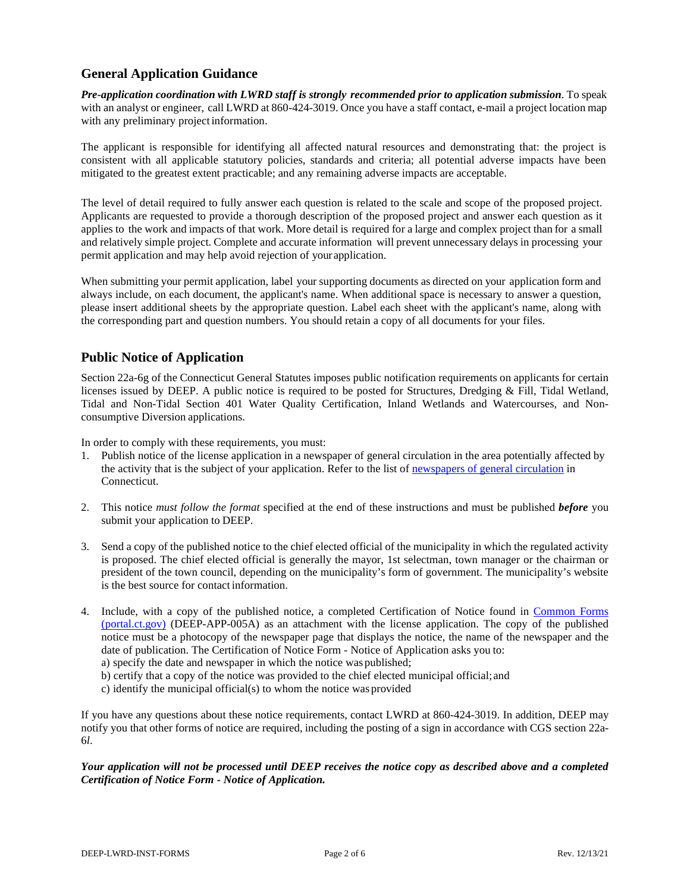## <span id="page-1-0"></span>**General Application Guidance**

*Pre-application coordination with LWRD staff is strongly recommended prior to application submission*. To speak with an analyst or engineer, call LWRD at 860-424-3019. Once you have a staff contact, e-mail a project location map with any preliminary project information.

The applicant is responsible for identifying all affected natural resources and demonstrating that: the project is consistent with all applicable statutory policies, standards and criteria; all potential adverse impacts have been mitigated to the greatest extent practicable; and any remaining adverse impacts are acceptable.

The level of detail required to fully answer each question is related to the scale and scope of the proposed project. Applicants are requested to provide a thorough description of the proposed project and answer each question as it applies to the work and impacts of that work. More detail is required for a large and complex project than for a small and relatively simple project. Complete and accurate information will prevent unnecessary delays in processing your permit application and may help avoid rejection of your application.

When submitting your permit application, label your supporting documents as directed on your application form and always include, on each document, the applicant's name. When additional space is necessary to answer a question, please insert additional sheets by the appropriate question. Label each sheet with the applicant's name, along with the corresponding part and question numbers. You should retain a copy of all documents for your files.

## <span id="page-1-1"></span>**Public Notice of Application**

Section 22a-6g of the Connecticut General Statutes imposes public notification requirements on applicants for certain licenses issued by DEEP. A public notice is required to be posted for Structures, Dredging & Fill, Tidal Wetland, Tidal and Non-Tidal Section 401 Water Quality Certification, Inland Wetlands and Watercourses, and Nonconsumptive Diversion applications.

In order to comply with these requirements, you must:

- 1. Publish notice of the license application in a newspaper of general circulation in the area potentially affected by the activity that is the subject of your application. Refer to the list of [newspapers of general circulation](https://portal.ct.gov/-/media/DEEP/Permits_and_Licenses/newspaperspdf.pdf?la=en) in Connecticut.
- 2. This notice *must follow the format* specified at the end of these instructions and must be published *before* you submit your application to DEEP.
- 3. Send a copy of the published notice to the chief elected official of the municipality in which the regulated activity is proposed. The chief elected official is generally the mayor, 1st selectman, town manager or the chairman or president of the town council, depending on the municipality's form of government. The municipality's website is the best source for contact information.
- 4. Include, with a copy of the published notice, a completed Certification of Notice found in [Common Forms](https://portal.ct.gov/DEEP/Permits-and-Licenses/Common-Forms)  [\(portal.ct.gov\)](https://portal.ct.gov/DEEP/Permits-and-Licenses/Common-Forms) (DEEP-APP-005A) as an attachment with the license application. The copy of the published notice must be a photocopy of the newspaper page that displays the notice, the name of the newspaper and the date of publication. The Certification of Notice Form - Notice of Application asks you to:
	- a) specify the date and newspaper in which the notice was published;
	- b) certify that a copy of the notice was provided to the chief elected municipal official;and
	- c) identify the municipal official(s) to whom the notice was provided

If you have any questions about these notice requirements, contact LWRD at 860-424-3019. In addition, DEEP may notify you that other forms of notice are required, including the posting of a sign in accordance with CGS section 22a-6*l*.

*Your application will not be processed until DEEP receives the notice copy as described above and a completed Certification of Notice Form - Notice of Application.*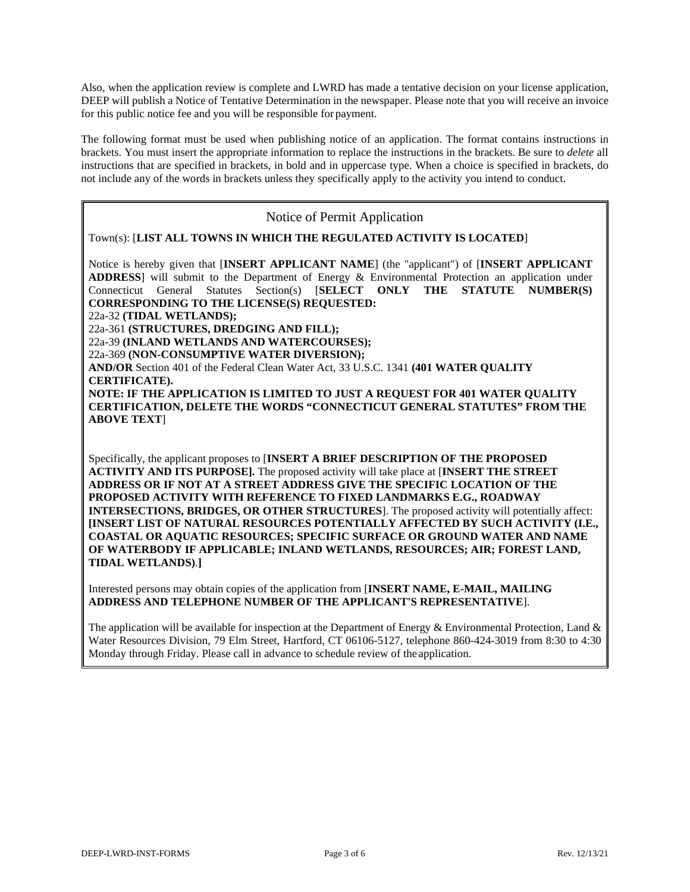Also, when the application review is complete and LWRD has made a tentative decision on your license application, DEEP will publish a Notice of Tentative Determination in the newspaper. Please note that you will receive an invoice for this public notice fee and you will be responsible forpayment.

The following format must be used when publishing notice of an application. The format contains instructions in brackets. You must insert the appropriate information to replace the instructions in the brackets. Be sure to *delete* all instructions that are specified in brackets, in bold and in uppercase type. When a choice is specified in brackets, do not include any of the words in brackets unless they specifically apply to the activity you intend to conduct.

#### Notice of Permit Application

Town(s): [**LIST ALL TOWNS IN WHICH THE REGULATED ACTIVITY IS LOCATED**]

Notice is hereby given that [**INSERT APPLICANT NAME**] (the "applicant") of [**INSERT APPLICANT ADDRESS**] will submit to the Department of Energy & Environmental Protection an application under Connecticut General Statutes Section(s) [**SELECT ONLY THE STATUTE NUMBER(S) CORRESPONDING TO THE LICENSE(S) REQUESTED:**

22a-32 **(TIDAL WETLANDS);**

22a-361 **(STRUCTURES, DREDGING AND FILL);**

22a-39 **(INLAND WETLANDS AND WATERCOURSES);**

22a-369 **(NON-CONSUMPTIVE WATER DIVERSION);**

**AND/OR** Section 401 of the Federal Clean Water Act, 33 U.S.C. 1341 **(401 WATER QUALITY CERTIFICATE).**

**NOTE: IF THE APPLICATION IS LIMITED TO JUST A REQUEST FOR 401 WATER QUALITY CERTIFICATION, DELETE THE WORDS "CONNECTICUT GENERAL STATUTES" FROM THE ABOVE TEXT**]

Specifically, the applicant proposes to [**INSERT A BRIEF DESCRIPTION OF THE PROPOSED ACTIVITY AND ITS PURPOSE].** The proposed activity will take place at [**INSERT THE STREET ADDRESS OR IF NOT AT A STREET ADDRESS GIVE THE SPECIFIC LOCATION OF THE PROPOSED ACTIVITY WITH REFERENCE TO FIXED LANDMARKS E.G., ROADWAY INTERSECTIONS, BRIDGES, OR OTHER STRUCTURES**]. The proposed activity will potentially affect: **[INSERT LIST OF NATURAL RESOURCES POTENTIALLY AFFECTED BY SUCH ACTIVITY (I.E., COASTAL OR AQUATIC RESOURCES; SPECIFIC SURFACE OR GROUND WATER AND NAME OF WATERBODY IF APPLICABLE; INLAND WETLANDS, RESOURCES; AIR; FOREST LAND, TIDAL WETLANDS)**.**]**

Interested persons may obtain copies of the application from [**INSERT NAME, E-MAIL, MAILING ADDRESS AND TELEPHONE NUMBER OF THE APPLICANT'S REPRESENTATIVE**].

The application will be available for inspection at the Department of Energy  $\&$  Environmental Protection, Land  $\&$ Water Resources Division, 79 Elm Street, Hartford, CT 06106-5127, telephone 860-424-3019 from 8:30 to 4:30 Monday through Friday. Please call in advance to schedule review of the application.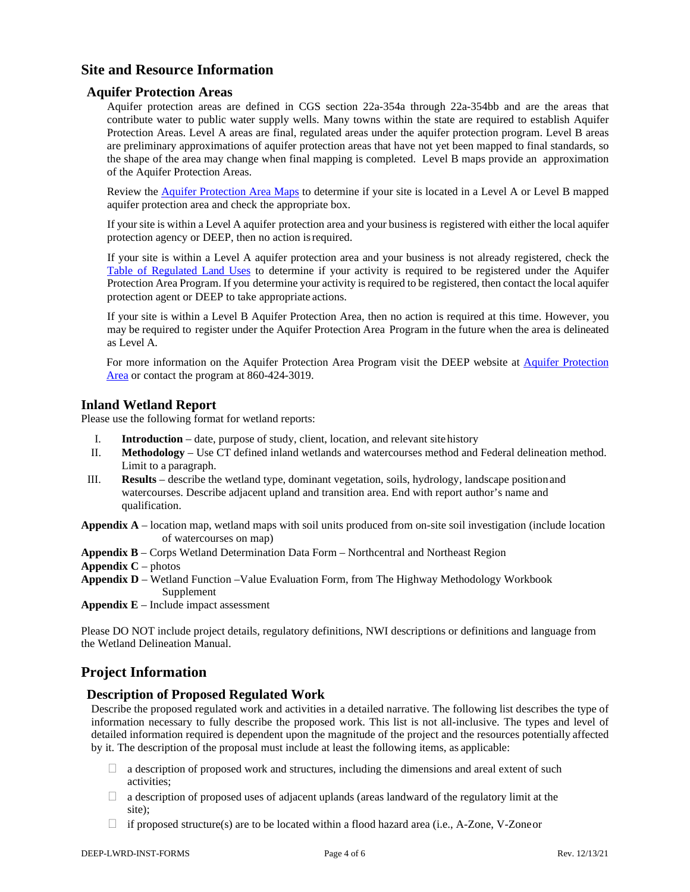## <span id="page-3-0"></span>**Site and Resource Information**

#### <span id="page-3-1"></span>**Aquifer Protection Areas**

Aquifer protection areas are defined in CGS section 22a-354a through 22a-354bb and are the areas that contribute water to public water supply wells. Many towns within the state are required to establish Aquifer Protection Areas. Level A areas are final, regulated areas under the aquifer protection program. Level B areas are preliminary approximations of aquifer protection areas that have not yet been mapped to final standards, so the shape of the area may change when final mapping is completed. Level B maps provide an approximation of the Aquifer Protection Areas.

Review the [Aquifer Protection Area Maps](https://portal.ct.gov/DEEP/Aquifer-Protection-and-Groundwater/Aquifer-Protection/Aquifer-Protection-Area-Maps) to determine if your site is located in a Level A or Level B mapped aquifer protection area and check the appropriate box.

If your site is within a Level A aquifer protection area and your business is registered with either the local aquifer protection agency or DEEP, then no action isrequired.

If your site is within a Level A aquifer protection area and your business is not already registered, check the [Table of Regulated Land Uses](https://portal.ct.gov/-/media/DEEP/aquifer_protection/municipal_manual/14Appendicespdf#page=2.pdf?la=en) to determine if your activity is required to be registered under the Aquifer Protection Area Program. If you determine your activity is required to be registered, then contact the local aquifer protection agent or DEEP to take appropriate actions.

If your site is within a Level B Aquifer Protection Area, then no action is required at this time. However, you may be required to register under the Aquifer Protection Area Program in the future when the area is delineated as Level A.

For more information on the Aquifer Protection Area Program visit the DEEP website at [Aquifer Protection](https://portal.ct.gov/DEEP/Aquifer-Protection-and-Groundwater/Aquifer-Protection/Aquifer-Protection-Program)  [Area](https://portal.ct.gov/DEEP/Aquifer-Protection-and-Groundwater/Aquifer-Protection/Aquifer-Protection-Program) or contact the program at 860-424-3019.

#### <span id="page-3-2"></span>**Inland Wetland Report**

Please use the following format for wetland reports:

- I. **Introduction**  date, purpose of study, client, location, and relevant sitehistory
- II. **Methodology**  Use CT defined inland wetlands and watercourses method and Federal delineation method. Limit to a paragraph.
- III. **Results**  describe the wetland type, dominant vegetation, soils, hydrology, landscape positionand watercourses. Describe adjacent upland and transition area. End with report author's name and qualification.

**Appendix A** – location map, wetland maps with soil units produced from on-site soil investigation (include location of watercourses on map)

- **Appendix B**  Corps Wetland Determination Data Form Northcentral and Northeast Region
- **Appendix C** photos
- **Appendix D**  Wetland Function –Value Evaluation Form, from The Highway Methodology Workbook Supplement

**Appendix E** – Include impact assessment

Please DO NOT include project details, regulatory definitions, NWI descriptions or definitions and language from the Wetland Delineation Manual.

## <span id="page-3-3"></span>**Project Information**

#### <span id="page-3-4"></span>**Description of Proposed Regulated Work**

Describe the proposed regulated work and activities in a detailed narrative. The following list describes the type of information necessary to fully describe the proposed work. This list is not all-inclusive. The types and level of detailed information required is dependent upon the magnitude of the project and the resources potentially affected by it. The description of the proposal must include at least the following items, as applicable:

- $\Box$  a description of proposed work and structures, including the dimensions and areal extent of such activities;
- $\Box$  a description of proposed uses of adjacent uplands (areas landward of the regulatory limit at the site);
- $\Box$  if proposed structure(s) are to be located within a flood hazard area (i.e., A-Zone, V-Zoneor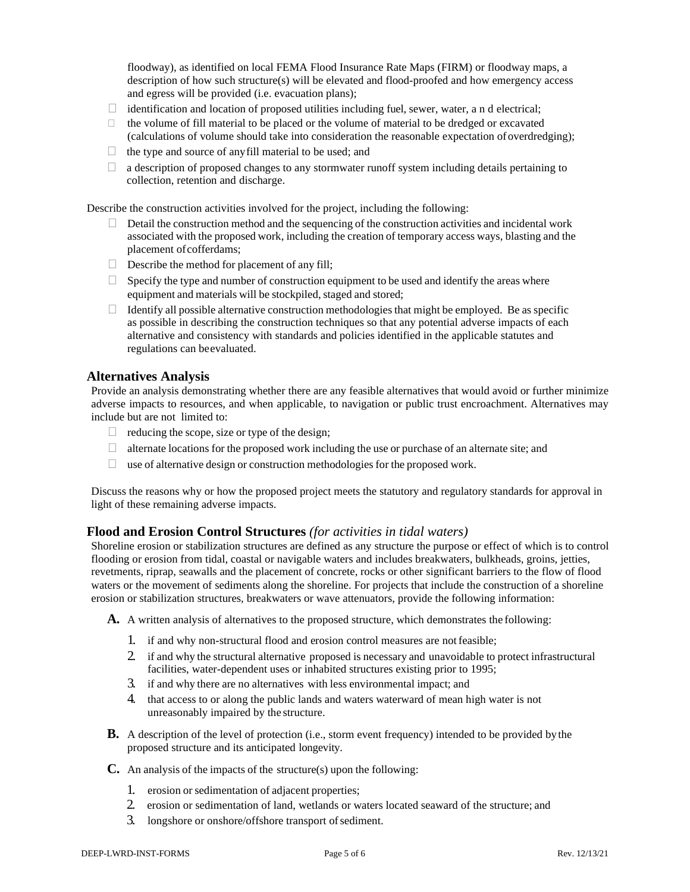floodway), as identified on local FEMA Flood Insurance Rate Maps (FIRM) or floodway maps, a description of how such structure(s) will be elevated and flood-proofed and how emergency access and egress will be provided (i.e. evacuation plans);

- $\Box$  identification and location of proposed utilities including fuel, sewer, water, a n d electrical;
- $\Box$  the volume of fill material to be placed or the volume of material to be dredged or excavated (calculations of volume should take into consideration the reasonable expectation ofoverdredging);
- $\Box$  the type and source of anyfill material to be used; and
- $\Box$  a description of proposed changes to any stormwater runoff system including details pertaining to collection, retention and discharge.

Describe the construction activities involved for the project, including the following:

- $\Box$  Detail the construction method and the sequencing of the construction activities and incidental work associated with the proposed work, including the creation of temporary access ways, blasting and the placement of cofferdams;
- $\Box$  Describe the method for placement of any fill;
- $\Box$  Specify the type and number of construction equipment to be used and identify the areas where equipment and materials will be stockpiled, staged and stored;
- $\Box$  Identify all possible alternative construction methodologies that might be employed. Be as specific as possible in describing the construction techniques so that any potential adverse impacts of each alternative and consistency with standards and policies identified in the applicable statutes and regulations can beevaluated.

#### <span id="page-4-0"></span>**Alternatives Analysis**

Provide an analysis demonstrating whether there are any feasible alternatives that would avoid or further minimize adverse impacts to resources, and when applicable, to navigation or public trust encroachment. Alternatives may include but are not limited to:

- $\Box$  reducing the scope, size or type of the design;
- $\Box$  alternate locations for the proposed work including the use or purchase of an alternate site; and
- $\Box$  use of alternative design or construction methodologies for the proposed work.

Discuss the reasons why or how the proposed project meets the statutory and regulatory standards for approval in light of these remaining adverse impacts.

#### **Flood and Erosion Control Structures** *(for activities in tidal waters)*

Shoreline erosion or stabilization structures are defined as any structure the purpose or effect of which is to control flooding or erosion from tidal, coastal or navigable waters and includes breakwaters, bulkheads, groins, jetties, revetments, riprap, seawalls and the placement of concrete, rocks or other significant barriers to the flow of flood waters or the movement of sediments along the shoreline. For projects that include the construction of a shoreline erosion or stabilization structures, breakwaters or wave attenuators, provide the following information:

**A.** A written analysis of alternatives to the proposed structure, which demonstrates the following:

- 1. if and why non-structural flood and erosion control measures are notfeasible;
- 2. if and why the structural alternative proposed is necessary and unavoidable to protect infrastructural facilities, water-dependent uses or inhabited structures existing prior to 1995;
- 3. if and why there are no alternatives with less environmental impact; and
- 4. that access to or along the public lands and waters waterward of mean high water is not unreasonably impaired by the structure.
- **B.** A description of the level of protection (i.e., storm event frequency) intended to be provided by the proposed structure and its anticipated longevity.
- **C.** An analysis of the impacts of the structure(s) upon the following:
	- 1. erosion or sedimentation of adjacent properties;
	- 2. erosion or sedimentation of land, wetlands or waters located seaward of the structure; and
	- 3. longshore or onshore/offshore transport of sediment.